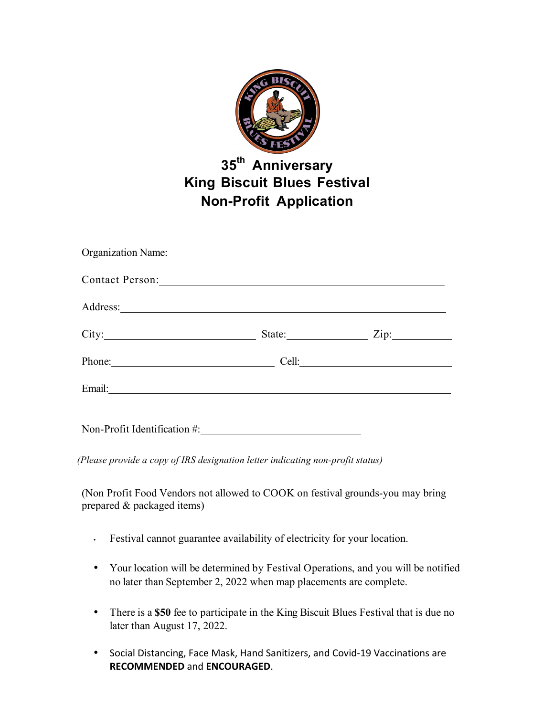

## **35th Anniversary King Biscuit Blues Festival Non-Profit Application**

| Organization Name: 1988 and 1988 and 1988 and 1988 and 1988 and 1988 and 1988 and 1988 and 1988 and 1988 and 1988 and 1988 and 1988 and 1988 and 1988 and 1988 and 1988 and 1988 and 1988 and 1988 and 1988 and 1988 and 1988 |                    |
|-------------------------------------------------------------------------------------------------------------------------------------------------------------------------------------------------------------------------------|--------------------|
| Contact Person: New York Contact Person:                                                                                                                                                                                      |                    |
|                                                                                                                                                                                                                               |                    |
| City:                                                                                                                                                                                                                         | State: <u>Zip:</u> |
| Phone:                                                                                                                                                                                                                        |                    |
|                                                                                                                                                                                                                               |                    |
|                                                                                                                                                                                                                               |                    |

*(Please provide a copy of IRS designation letter indicating non-profit status)*

(Non Profit Food Vendors not allowed to COOK on festival grounds-you may bring prepared & packaged items)

- Festival cannot guarantee availability of electricity for your location.
- Your location will be determined by Festival Operations, and you will be notified no later than September 2, 2022 when map placements are complete.
- There is a \$50 fee to participate in the King Biscuit Blues Festival that is due no later than August 17, 2022.
- Social Distancing, Face Mask, Hand Sanitizers, and Covid-19 Vaccinations are **RECOMMENDED** and **ENCOURAGED**.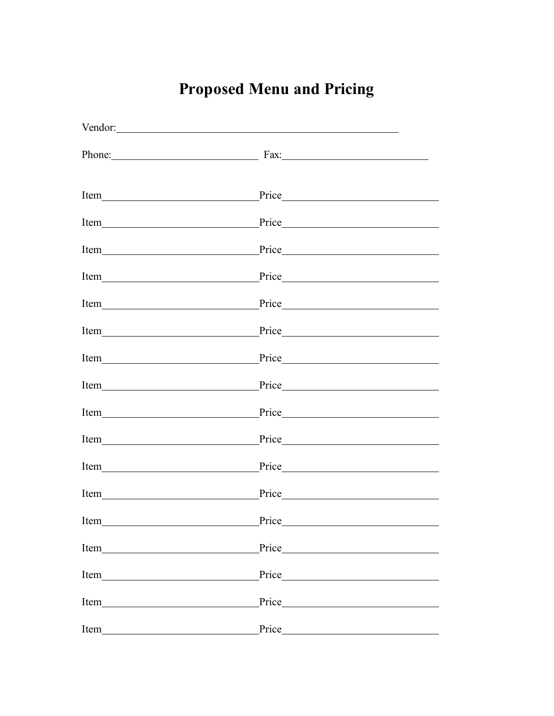## **Proposed Menu and Pricing**

| Vendor:                                                                                                                                                                                                                        |                                                                                                                                                                                                                               |  |
|--------------------------------------------------------------------------------------------------------------------------------------------------------------------------------------------------------------------------------|-------------------------------------------------------------------------------------------------------------------------------------------------------------------------------------------------------------------------------|--|
| Phone: 2008 Phone: 2008 Phone: 2008 Phone: 2008 Phone: 2008 Phone: 2008 Phone: 2008 Phone: 2008 Phone: 2008 Phone: 2008 Phone: 2008 Phone: 2008 Phone: 2008 Phone: 2008 Phone: 2008 Phone: 2008 Phone: 2008 Phone: 2008 Phone: | Fax:                                                                                                                                                                                                                          |  |
| Item<br><u> 1980 - Johann Barn, mars an t-Amerikaansk ferske område (</u>                                                                                                                                                      |                                                                                                                                                                                                                               |  |
|                                                                                                                                                                                                                                |                                                                                                                                                                                                                               |  |
| Item<br><u> 1989 - Johann Barbara, martxa amerikan personal (</u>                                                                                                                                                              |                                                                                                                                                                                                                               |  |
|                                                                                                                                                                                                                                |                                                                                                                                                                                                                               |  |
| Item<br><u> 1980 - Johann Barbara, martxa amerikan personal (</u>                                                                                                                                                              |                                                                                                                                                                                                                               |  |
|                                                                                                                                                                                                                                | Price                                                                                                                                                                                                                         |  |
| Item                                                                                                                                                                                                                           |                                                                                                                                                                                                                               |  |
|                                                                                                                                                                                                                                | Price                                                                                                                                                                                                                         |  |
| Item                                                                                                                                                                                                                           |                                                                                                                                                                                                                               |  |
| Item                                                                                                                                                                                                                           | Price                                                                                                                                                                                                                         |  |
| Item                                                                                                                                                                                                                           | Price Price                                                                                                                                                                                                                   |  |
| Item                                                                                                                                                                                                                           | Price and the state of the state of the state of the state of the state of the state of the state of the state of the state of the state of the state of the state of the state of the state of the state of the state of the |  |
| Item                                                                                                                                                                                                                           | Price                                                                                                                                                                                                                         |  |
| Item                                                                                                                                                                                                                           | Price                                                                                                                                                                                                                         |  |
| Item                                                                                                                                                                                                                           | Price                                                                                                                                                                                                                         |  |
| Item                                                                                                                                                                                                                           | Price                                                                                                                                                                                                                         |  |
| Item                                                                                                                                                                                                                           | Price                                                                                                                                                                                                                         |  |